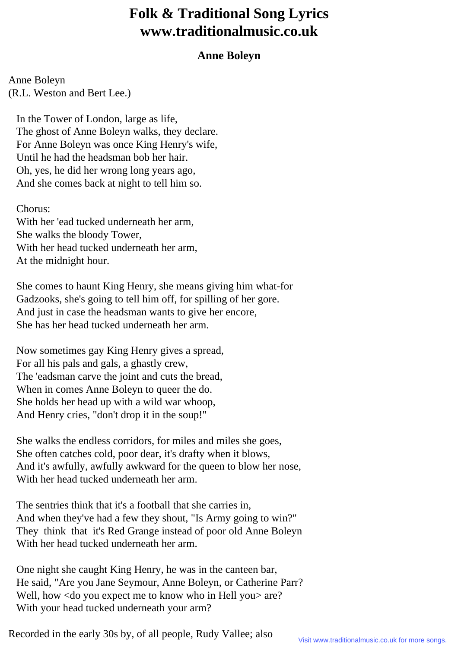## **Folk & Traditional Song Lyrics www.traditionalmusic.co.uk**

## **Anne Boleyn**

Anne Boleyn (R.L. Weston and Bert Lee.)

 In the Tower of London, large as life, The ghost of Anne Boleyn walks, they declare. For Anne Boleyn was once King Henry's wife, Until he had the headsman bob her hair. Oh, yes, he did her wrong long years ago, And she comes back at night to tell him so.

 Chorus: With her 'ead tucked underneath her arm, She walks the bloody Tower, With her head tucked underneath her arm, At the midnight hour.

 She comes to haunt King Henry, she means giving him what-for Gadzooks, she's going to tell him off, for spilling of her gore. And just in case the headsman wants to give her encore, She has her head tucked underneath her arm.

 Now sometimes gay King Henry gives a spread, For all his pals and gals, a ghastly crew, The 'eadsman carve the joint and cuts the bread, When in comes Anne Boleyn to queer the do. She holds her head up with a wild war whoop, And Henry cries, "don't drop it in the soup!"

 She walks the endless corridors, for miles and miles she goes, She often catches cold, poor dear, it's drafty when it blows, And it's awfully, awfully awkward for the queen to blow her nose, With her head tucked underneath her arm.

 The sentries think that it's a football that she carries in, And when they've had a few they shout, "Is Army going to win?" They think that it's Red Grange instead of poor old Anne Boleyn With her head tucked underneath her arm.

 One night she caught King Henry, he was in the canteen bar, He said, "Are you Jane Seymour, Anne Boleyn, or Catherine Parr? Well, how <do you expect me to know who in Hell you > are? With your head tucked underneath your arm?

Recorded in the early 30s by, of all people, Rudy Vallee; also